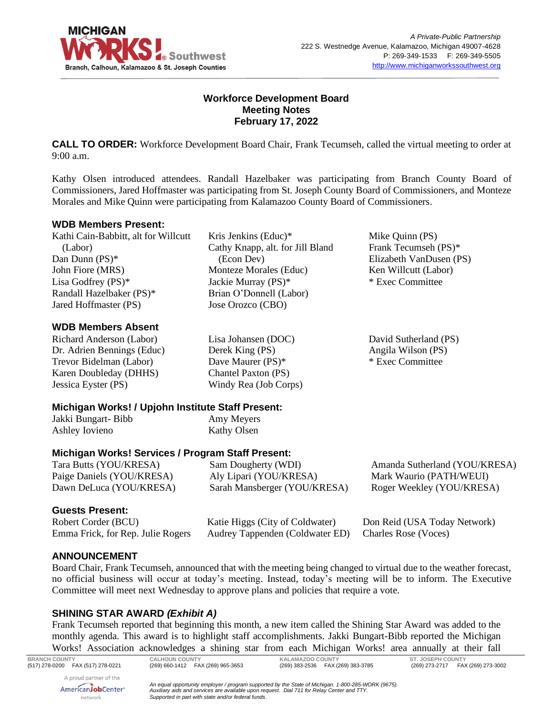

### **Workforce Development Board Meeting Notes February 17, 2022**

**CALL TO ORDER:** Workforce Development Board Chair, Frank Tecumseh, called the virtual meeting to order at 9:00 a.m.

Kathy Olsen introduced attendees. Randall Hazelbaker was participating from Branch County Board of Commissioners, Jared Hoffmaster was participating from St. Joseph County Board of Commissioners, and Monteze Morales and Mike Quinn were participating from Kalamazoo County Board of Commissioners.

#### **WDB Members Present:**

Kathi Cain-Babbitt, alt for Willcutt (Labor) Dan Dunn (PS)\* John Fiore (MRS) Lisa Godfrey (PS)\* Randall Hazelbaker (PS)\* Jared Hoffmaster (PS)

### **WDB Members Absent**

Richard Anderson (Labor) Dr. Adrien Bennings (Educ) Trevor Bidelman (Labor) Karen Doubleday (DHHS) Jessica Eyster (PS)

Kris Jenkins (Educ)\* Cathy Knapp, alt. for Jill Bland (Econ Dev) Monteze Morales (Educ) Jackie Murray (PS)\* Brian O'Donnell (Labor) Jose Orozco (CBO)

Mike Quinn (PS) Frank Tecumseh (PS)\* Elizabeth VanDusen (PS) Ken Willcutt (Labor) \* Exec Committee

David Sutherland (PS) Angila Wilson (PS) \* Exec Committee

Lisa Johansen (DOC) Derek King (PS) Dave Maurer (PS)\* Chantel Paxton (PS) Windy Rea (Job Corps)

### **Michigan Works! / Upjohn Institute Staff Present:**

Jakki Bungart- Bibb Ashley Iovieno

Amy Meyers Kathy Olsen

# **Michigan Works! Services / Program Staff Present:**

Tara Butts (YOU/KRESA) Paige Daniels (YOU/KRESA) Dawn DeLuca (YOU/KRESA) Sam Dougherty (WDI) Aly Lipari (YOU/KRESA) Sarah Mansberger (YOU/KRESA) Amanda Sutherland (YOU/KRESA) Mark Waurio (PATH/WEUI) Roger Weekley (YOU/KRESA)

### **Guests Present:**

Robert Corder (BCU) Emma Frick, for Rep. Julie Rogers

Katie Higgs (City of Coldwater) Audrey Tappenden (Coldwater ED) Don Reid (USA Today Network) Charles Rose (Voces)

### **ANNOUNCEMENT**

Board Chair, Frank Tecumseh, announced that with the meeting being changed to virtual due to the weather forecast, no official business will occur at today's meeting. Instead, today's meeting will be to inform. The Executive Committee will meet next Wednesday to approve plans and policies that require a vote.

### **SHINING STAR AWARD** *(Exhibit A)*

Frank Tecumseh reported that beginning this month, a new item called the Shining Star Award was added to the monthly agenda. This award is to highlight staff accomplishments. Jakki Bungart-Bibb reported the Michigan Works! Association acknowledges a shining star from each Michigan Works! area annually at their fall

**BRANCH COUNTY CALHOUN COUNTY KALAMAZOO COUNTY ST. JOSEPH COUNTY** A proud partner of the *An equal opportunity employer / program supported by the State of Michigan. 1-800-285-WORK (9675).* AmericanJobCenter\* *Auxiliary aids and services are available upon request. Dial 711 for Relay Center and TTY.* network *Supported in part with state and/or federal funds.*

(269) 273-2717 FAX (269) 273-3002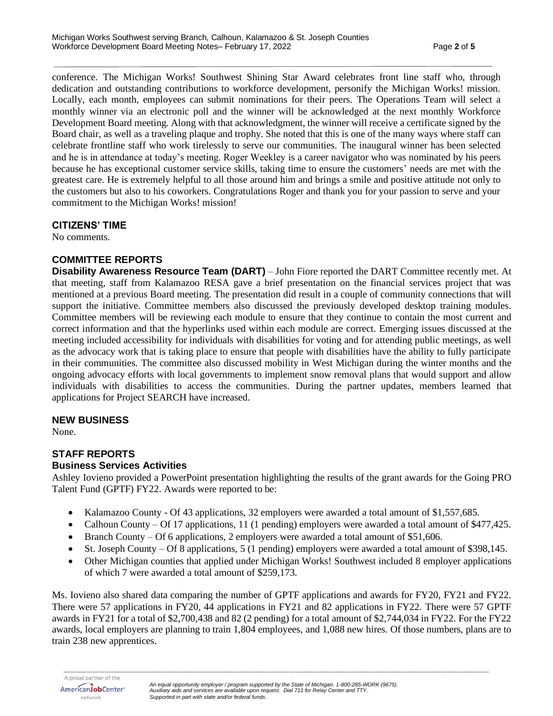conference. The Michigan Works! Southwest Shining Star Award celebrates front line staff who, through dedication and outstanding contributions to workforce development, personify the Michigan Works! mission. Locally, each month, employees can submit nominations for their peers. The Operations Team will select a monthly winner via an electronic poll and the winner will be acknowledged at the next monthly Workforce Development Board meeting. Along with that acknowledgment, the winner will receive a certificate signed by the Board chair, as well as a traveling plaque and trophy. She noted that this is one of the many ways where staff can celebrate frontline staff who work tirelessly to serve our communities. The inaugural winner has been selected and he is in attendance at today's meeting. Roger Weekley is a career navigator who was nominated by his peers because he has exceptional customer service skills, taking time to ensure the customers' needs are met with the greatest care. He is extremely helpful to all those around him and brings a smile and positive attitude not only to the customers but also to his coworkers. Congratulations Roger and thank you for your passion to serve and your commitment to the Michigan Works! mission!

#### **CITIZENS' TIME**

No comments.

### **COMMITTEE REPORTS**

**Disability Awareness Resource Team (DART)** – John Fiore reported the DART Committee recently met. At that meeting, staff from Kalamazoo RESA gave a brief presentation on the financial services project that was mentioned at a previous Board meeting. The presentation did result in a couple of community connections that will support the initiative. Committee members also discussed the previously developed desktop training modules. Committee members will be reviewing each module to ensure that they continue to contain the most current and correct information and that the hyperlinks used within each module are correct. Emerging issues discussed at the meeting included accessibility for individuals with disabilities for voting and for attending public meetings, as well as the advocacy work that is taking place to ensure that people with disabilities have the ability to fully participate in their communities. The committee also discussed mobility in West Michigan during the winter months and the ongoing advocacy efforts with local governments to implement snow removal plans that would support and allow individuals with disabilities to access the communities. During the partner updates, members learned that applications for Project SEARCH have increased.

### **NEW BUSINESS**

None.

### **STAFF REPORTS**

#### **Business Services Activities**

Ashley Iovieno provided a PowerPoint presentation highlighting the results of the grant awards for the Going PRO Talent Fund (GPTF) FY22. Awards were reported to be:

- Kalamazoo County Of 43 applications, 32 employers were awarded a total amount of \$1,557,685.
- Calhoun County Of 17 applications, 11 (1 pending) employers were awarded a total amount of \$477,425.
- Branch County Of 6 applications, 2 employers were awarded a total amount of \$51,606.
- St. Joseph County Of 8 applications, 5 (1 pending) employers were awarded a total amount of \$398,145.
- Other Michigan counties that applied under Michigan Works! Southwest included 8 employer applications of which 7 were awarded a total amount of \$259,173.

Ms. Iovieno also shared data comparing the number of GPTF applications and awards for FY20, FY21 and FY22. There were 57 applications in FY20, 44 applications in FY21 and 82 applications in FY22. There were 57 GPTF awards in FY21 for a total of \$2,700,438 and 82 (2 pending) for a total amount of \$2,744,034 in FY22. For the FY22 awards, local employers are planning to train 1,804 employees, and 1,088 new hires. Of those numbers, plans are to train 238 new apprentices.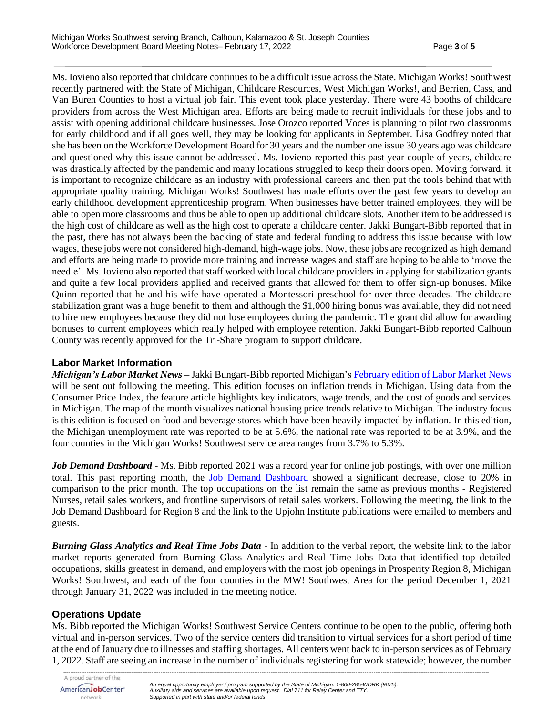Ms. Iovieno also reported that childcare continues to be a difficult issue across the State. Michigan Works! Southwest recently partnered with the State of Michigan, Childcare Resources, West Michigan Works!, and Berrien, Cass, and Van Buren Counties to host a virtual job fair. This event took place yesterday. There were 43 booths of childcare providers from across the West Michigan area. Efforts are being made to recruit individuals for these jobs and to assist with opening additional childcare businesses. Jose Orozco reported Voces is planning to pilot two classrooms for early childhood and if all goes well, they may be looking for applicants in September. Lisa Godfrey noted that she has been on the Workforce Development Board for 30 years and the number one issue 30 years ago was childcare and questioned why this issue cannot be addressed. Ms. Iovieno reported this past year couple of years, childcare was drastically affected by the pandemic and many locations struggled to keep their doors open. Moving forward, it is important to recognize childcare as an industry with professional careers and then put the tools behind that with appropriate quality training. Michigan Works! Southwest has made efforts over the past few years to develop an early childhood development apprenticeship program. When businesses have better trained employees, they will be able to open more classrooms and thus be able to open up additional childcare slots. Another item to be addressed is the high cost of childcare as well as the high cost to operate a childcare center. Jakki Bungart-Bibb reported that in the past, there has not always been the backing of state and federal funding to address this issue because with low wages, these jobs were not considered high-demand, high-wage jobs. Now, these jobs are recognized as high demand and efforts are being made to provide more training and increase wages and staff are hoping to be able to 'move the needle'. Ms. Iovieno also reported that staff worked with local childcare providers in applying for stabilization grants and quite a few local providers applied and received grants that allowed for them to offer sign-up bonuses. Mike Quinn reported that he and his wife have operated a Montessori preschool for over three decades. The childcare stabilization grant was a huge benefit to them and although the \$1,000 hiring bonus was available, they did not need to hire new employees because they did not lose employees during the pandemic. The grant did allow for awarding bonuses to current employees which really helped with employee retention. Jakki Bungart-Bibb reported Calhoun County was recently approved for the Tri-Share program to support childcare.

### **Labor Market Information**

*Michigan's Labor Market News* **–** Jakki Bungart-Bibb reported Michigan's February edition [of Labor Market News](https://milmi.org/Publication/Labor-Market-News/Michigans-Labor-Market-News-February-2022) will be sent out following the meeting. This edition focuses on inflation trends in Michigan. Using data from the Consumer Price Index, the feature article highlights key indicators, wage trends, and the cost of goods and services in Michigan. The map of the month visualizes national housing price trends relative to Michigan. The industry focus is this edition is focused on food and beverage stores which have been heavily impacted by inflation. In this edition, the Michigan unemployment rate was reported to be at 5.6%, the national rate was reported to be at 3.9%, and the four counties in the Michigan Works! Southwest service area ranges from 3.7% to 5.3%.

*Job Demand Dashboard* - Ms. Bibb reported 2021 was a record year for online job postings, with over one million total. This past reporting month, the [Job Demand Dashboard](https://app.powerbigov.us/view?r=eyJrIjoiOTc1OWQ5OWItODVmYi00Y2IyLWExMjYtYjkzOTc0OWZlMTcwIiwidCI6ImQ1ZmI3MDg3LTM3NzctNDJhZC05NjZhLTg5MmVmNDcyMjVkMSJ9&pageName=ReportSection3ea51ac6802356c9f464) showed a significant decrease, close to 20% in comparison to the prior month. The top occupations on the list remain the same as previous months - Registered Nurses, retail sales workers, and frontline supervisors of retail sales workers. Following the meeting, the link to the Job Demand Dashboard for Region 8 and the link to the Upjohn Institute publications were emailed to members and guests.

*Burning Glass Analytics and Real Time Jobs Data -* In addition to the verbal report, the website link to the labor market reports generated from Burning Glass Analytics and Real Time Jobs Data that identified top detailed occupations, skills greatest in demand, and employers with the most job openings in Prosperity Region 8, Michigan Works! Southwest, and each of the four counties in the MW! Southwest Area for the period December 1, 2021 through January 31, 2022 was included in the meeting notice.

### **Operations Update**

Ms. Bibb reported the Michigan Works! Southwest Service Centers continue to be open to the public, offering both virtual and in-person services. Two of the service centers did transition to virtual services for a short period of time at the end of January due to illnesses and staffing shortages. All centers went back to in-person services as of February 1, 2022. Staff are seeing an increase in the number of individuals registering for work statewide; however, the number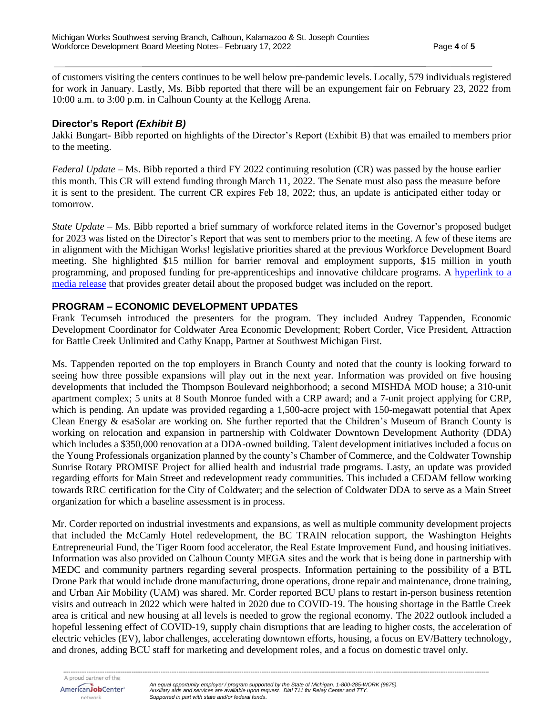of customers visiting the centers continues to be well below pre-pandemic levels. Locally, 579 individuals registered for work in January. Lastly, Ms. Bibb reported that there will be an expungement fair on February 23, 2022 from 10:00 a.m. to 3:00 p.m. in Calhoun County at the Kellogg Arena.

### **Director's Report** *(Exhibit B)*

Jakki Bungart- Bibb reported on highlights of the Director's Report (Exhibit B) that was emailed to members prior to the meeting.

*Federal Update* – Ms. Bibb reported a third FY 2022 continuing resolution (CR) was passed by the house earlier this month. This CR will extend funding through March 11, 2022. The Senate must also pass the measure before it is sent to the president. The current CR expires Feb 18, 2022; thus, an update is anticipated either today or tomorrow.

*State Update –* Ms. Bibb reported a brief summary of workforce related items in the Governor's proposed budget for 2023 was listed on the Director's Report that was sent to members prior to the meeting. A few of these items are in alignment with the Michigan Works! legislative priorities shared at the previous Workforce Development Board meeting. She highlighted \$15 million for barrier removal and employment supports, \$15 million in youth programming, and proposed funding for pre-apprenticeships and innovative childcare programs. A [hyperlink to a](https://www.michigan.gov/budget/-/media/Project/Websites/budget/Fiscal/Executive-Budget/Current-Exec-Rec/FY23-Budget-Press-Release.pdf?rev=6134d7913d0545a78e68b8580bc4a714&hash=E0327D40989EAA14F96CDD6E323A0AF1)  [media release](https://www.michigan.gov/budget/-/media/Project/Websites/budget/Fiscal/Executive-Budget/Current-Exec-Rec/FY23-Budget-Press-Release.pdf?rev=6134d7913d0545a78e68b8580bc4a714&hash=E0327D40989EAA14F96CDD6E323A0AF1) that provides greater detail about the proposed budget was included on the report.

## **PROGRAM – ECONOMIC DEVELOPMENT UPDATES**

Frank Tecumseh introduced the presenters for the program. They included Audrey Tappenden, Economic Development Coordinator for Coldwater Area Economic Development; Robert Corder, Vice President, Attraction for Battle Creek Unlimited and Cathy Knapp, Partner at Southwest Michigan First.

Ms. Tappenden reported on the top employers in Branch County and noted that the county is looking forward to seeing how three possible expansions will play out in the next year. Information was provided on five housing developments that included the Thompson Boulevard neighborhood; a second MISHDA MOD house; a 310-unit apartment complex; 5 units at 8 South Monroe funded with a CRP award; and a 7-unit project applying for CRP, which is pending. An update was provided regarding a 1,500-acre project with 150-megawatt potential that Apex Clean Energy & esaSolar are working on. She further reported that the Children's Museum of Branch County is working on relocation and expansion in partnership with Coldwater Downtown Development Authority (DDA) which includes a \$350,000 renovation at a DDA-owned building. Talent development initiatives included a focus on the Young Professionals organization planned by the county's Chamber of Commerce, and the Coldwater Township Sunrise Rotary PROMISE Project for allied health and industrial trade programs. Lasty, an update was provided regarding efforts for Main Street and redevelopment ready communities. This included a CEDAM fellow working towards RRC certification for the City of Coldwater; and the selection of Coldwater DDA to serve as a Main Street organization for which a baseline assessment is in process.

Mr. Corder reported on industrial investments and expansions, as well as multiple community development projects that included the McCamly Hotel redevelopment, the BC TRAIN relocation support, the Washington Heights Entrepreneurial Fund, the Tiger Room food accelerator, the Real Estate Improvement Fund, and housing initiatives. Information was also provided on Calhoun County MEGA sites and the work that is being done in partnership with MEDC and community partners regarding several prospects. Information pertaining to the possibility of a BTL Drone Park that would include drone manufacturing, drone operations, drone repair and maintenance, drone training, and Urban Air Mobility (UAM) was shared. Mr. Corder reported BCU plans to restart in-person business retention visits and outreach in 2022 which were halted in 2020 due to COVID-19. The housing shortage in the Battle Creek area is critical and new housing at all levels is needed to grow the regional economy. The 2022 outlook included a hopeful lessening effect of COVID-19, supply chain disruptions that are leading to higher costs, the acceleration of electric vehicles (EV), labor challenges, accelerating downtown efforts, housing, a focus on EV/Battery technology, and drones, adding BCU staff for marketing and development roles, and a focus on domestic travel only.

*--------------------------------------------------------------------------------------------------------------------------------------------------------------------------------------------------------------------------------------------*